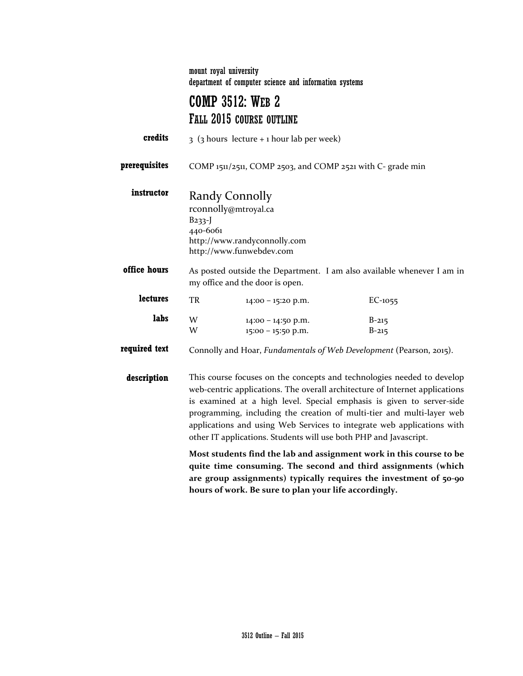mount royal university department of computer science and information systems

# COMP 3512: WEB 2 FALL 2015 COURSE OUTLINE

| credits       | $3$ (3 hours lecture + 1 hour lab per week)                                                                                                                                                                                                                                                                                                                                                                                                            |                                          |                        |  |
|---------------|--------------------------------------------------------------------------------------------------------------------------------------------------------------------------------------------------------------------------------------------------------------------------------------------------------------------------------------------------------------------------------------------------------------------------------------------------------|------------------------------------------|------------------------|--|
| prerequisites | COMP 1511/2511, COMP 2503, and COMP 2521 with C- grade min                                                                                                                                                                                                                                                                                                                                                                                             |                                          |                        |  |
| instructor    | Randy Connolly<br>rconnolly@mtroyal.ca<br>$B233-J$<br>440-6061<br>http://www.randyconnolly.com<br>http://www.funwebdev.com                                                                                                                                                                                                                                                                                                                             |                                          |                        |  |
| office hours  | As posted outside the Department. I am also available whenever I am in<br>my office and the door is open.                                                                                                                                                                                                                                                                                                                                              |                                          |                        |  |
| lectures      | TR                                                                                                                                                                                                                                                                                                                                                                                                                                                     | $14:00 - 15:20$ p.m.                     | $EC-1055$              |  |
| labs          | W<br>W                                                                                                                                                                                                                                                                                                                                                                                                                                                 | 14:00 - 14:50 p.m.<br>15:00 - 15:50 p.m. | $B - 215$<br>$B - 215$ |  |
| required text | Connolly and Hoar, Fundamentals of Web Development (Pearson, 2015).                                                                                                                                                                                                                                                                                                                                                                                    |                                          |                        |  |
| description   | This course focuses on the concepts and technologies needed to develop<br>web-centric applications. The overall architecture of Internet applications<br>is examined at a high level. Special emphasis is given to server-side<br>programming, including the creation of multi-tier and multi-layer web<br>applications and using Web Services to integrate web applications with<br>other IT applications. Students will use both PHP and Javascript. |                                          |                        |  |
|               | Most students find the lab and assignment work in this course to be<br>quite time consuming. The second and third assignments (which<br>are group assignments) typically requires the investment of 50-90                                                                                                                                                                                                                                              |                                          |                        |  |

**hours of work. Be sure to plan your life accordingly.**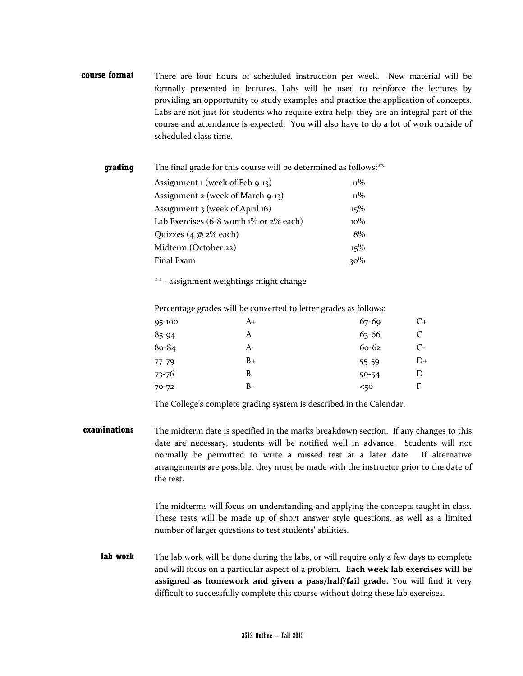**course format** There are four hours of scheduled instruction per week. New material will be formally presented in lectures. Labs will be used to reinforce the lectures by providing an opportunity to study examples and practice the application of concepts. Labs are not just for students who require extra help; they are an integral part of the course and attendance is expected. You will also have to do a lot of work outside of scheduled class time.

| grading | The final grade for this course will be determined as follows:** |        |  |  |
|---------|------------------------------------------------------------------|--------|--|--|
|         | Assignment 1 (week of Feb 9-13)                                  | $11\%$ |  |  |
|         | Assignment 2 (week of March 9-13)                                | $11\%$ |  |  |
|         | Assignment 3 (week of April 16)                                  | 15%    |  |  |
|         | Lab Exercises (6-8 worth $1\%$ or $2\%$ each)                    | $10\%$ |  |  |
|         | Quizzes $(4 \omega 2\%$ each)                                    | 8%     |  |  |
|         | Midterm (October 22)                                             | 15%    |  |  |
|         | Final Exam                                                       | 30%    |  |  |
|         |                                                                  |        |  |  |

\*\* - assignment weightings might change

Percentage grades will be converted to letter grades as follows:

| A+ | $67 - 69$ | C+ |
|----|-----------|----|
| A  | $63 - 66$ | C  |
| A- | 60-62     | C- |
| B+ | 55-59     | D+ |
| B  | $50 - 54$ | D  |
| B- | 50<       | F  |
|    |           |    |

The College's complete grading system is described in the Calendar.

**examinations** The midterm date is specified in the marks breakdown section. If any changes to this date are necessary, students will be notified well in advance. Students will not normally be permitted to write a missed test at a later date. If alternative arrangements are possible, they must be made with the instructor prior to the date of the test.

> The midterms will focus on understanding and applying the concepts taught in class. These tests will be made up of short answer style questions, as well as a limited number of larger questions to test students' abilities.

**lab work** The lab work will be done during the labs, or will require only a few days to complete and will focus on a particular aspect of a problem. **Each week lab exercises will be assigned as homework and given a pass/half/fail grade.** You will find it very difficult to successfully complete this course without doing these lab exercises.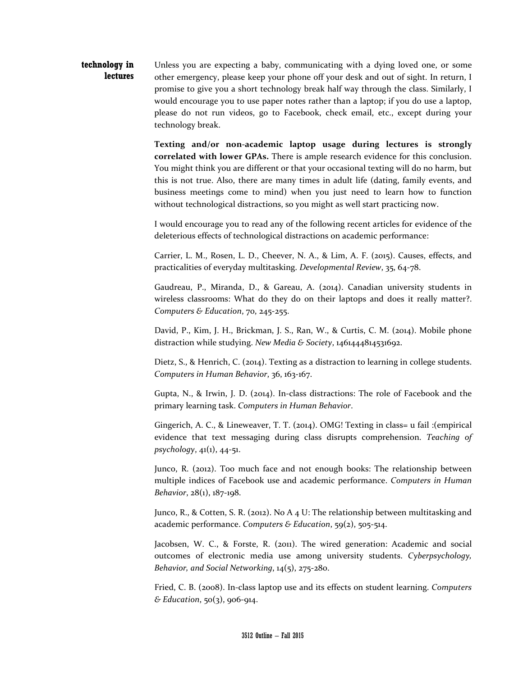#### **technology in lectures** Unless you are expecting a baby, communicating with a dying loved one, or some other emergency, please keep your phone off your desk and out of sight. In return, I promise to give you a short technology break half way through the class. Similarly, I would encourage you to use paper notes rather than a laptop; if you do use a laptop, please do not run videos, go to Facebook, check email, etc., except during your technology break.

**Texting and/or non-academic laptop usage during lectures is strongly correlated with lower GPAs.** There is ample research evidence for this conclusion. You might think you are different or that your occasional texting will do no harm, but this is not true. Also, there are many times in adult life (dating, family events, and business meetings come to mind) when you just need to learn how to function without technological distractions, so you might as well start practicing now.

I would encourage you to read any of the following recent articles for evidence of the deleterious effects of technological distractions on academic performance:

Carrier, L. M., Rosen, L. D., Cheever, N. A., & Lim, A. F. (2015). Causes, effects, and practicalities of everyday multitasking. *Developmental Review*, 35, 64-78.

Gaudreau, P., Miranda, D., & Gareau, A. (2014). Canadian university students in wireless classrooms: What do they do on their laptops and does it really matter?. *Computers & Education*, 70, 245-255.

David, P., Kim, J. H., Brickman, J. S., Ran, W., & Curtis, C. M. (2014). Mobile phone distraction while studying. *New Media & Society*, 1461444814531692.

Dietz, S., & Henrich, C. (2014). Texting as a distraction to learning in college students. *Computers in Human Behavior*, 36, 163-167.

Gupta, N., & Irwin, J. D. (2014). In-class distractions: The role of Facebook and the primary learning task. *Computers in Human Behavior*.

Gingerich, A. C., & Lineweaver, T. T. (2014). OMG! Texting in class= u fail :(empirical evidence that text messaging during class disrupts comprehension. *Teaching of psychology*, 41(1), 44-51.

Junco, R. (2012). Too much face and not enough books: The relationship between multiple indices of Facebook use and academic performance. *Computers in Human Behavior*, 28(1), 187-198.

Junco, R., & Cotten, S. R. (2012). No A 4 U: The relationship between multitasking and academic performance. *Computers & Education*, 59(2), 505-514.

Jacobsen, W. C., & Forste, R. (2011). The wired generation: Academic and social outcomes of electronic media use among university students. *Cyberpsychology, Behavior, and Social Networking*, 14(5), 275-280.

Fried, C. B. (2008). In-class laptop use and its effects on student learning. *Computers & Education*, 50(3), 906-914.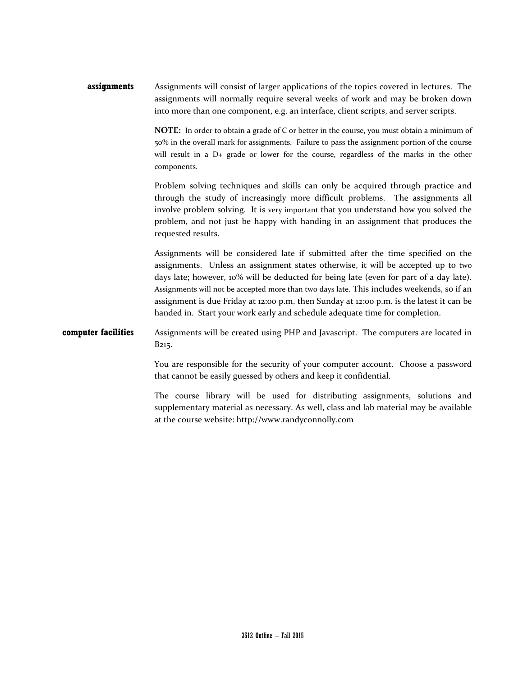**assignments** Assignments will consist of larger applications of the topics covered in lectures. The assignments will normally require several weeks of work and may be broken down into more than one component, e.g. an interface, client scripts, and server scripts.

> **NOTE:** In order to obtain a grade of C or better in the course, you must obtain a minimum of 50% in the overall mark for assignments. Failure to pass the assignment portion of the course will result in a D+ grade or lower for the course, regardless of the marks in the other components.

> Problem solving techniques and skills can only be acquired through practice and through the study of increasingly more difficult problems. The assignments all involve problem solving. It is very important that you understand how you solved the problem, and not just be happy with handing in an assignment that produces the requested results.

> Assignments will be considered late if submitted after the time specified on the assignments. Unless an assignment states otherwise, it will be accepted up to two days late; however, 10% will be deducted for being late (even for part of a day late). Assignments will not be accepted more than two days late. This includes weekends, so if an assignment is due Friday at 12:00 p.m. then Sunday at 12:00 p.m. is the latest it can be handed in. Start your work early and schedule adequate time for completion.

## **computer facilities** Assignments will be created using PHP and Javascript. The computers are located in B215.

You are responsible for the security of your computer account. Choose a password that cannot be easily guessed by others and keep it confidential.

The course library will be used for distributing assignments, solutions and supplementary material as necessary. As well, class and lab material may be available at the course website: http://www.randyconnolly.com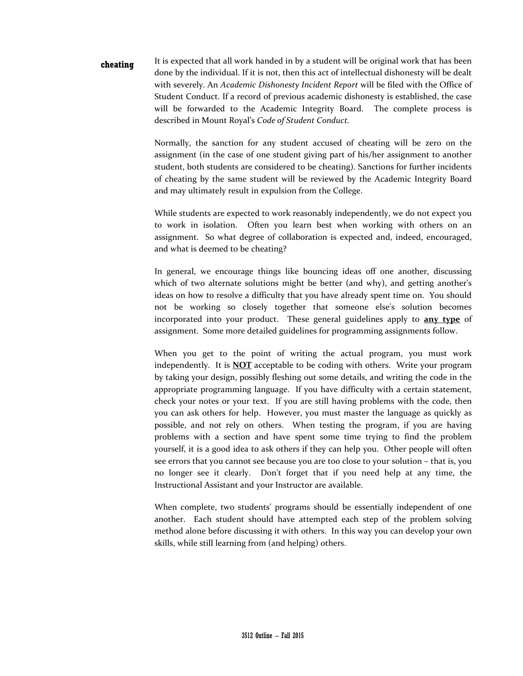**cheating** It is expected that all work handed in by a student will be original work that has been done by the individual. If it is not, then this act of intellectual dishonesty will be dealt with severely. An *Academic Dishonesty Incident Report* will be filed with the Office of Student Conduct. If a record of previous academic dishonesty is established, the case will be forwarded to the Academic Integrity Board. The complete process is described in Mount Royal's *Code of Student Conduct.* 

> Normally, the sanction for any student accused of cheating will be zero on the assignment (in the case of one student giving part of his/her assignment to another student, both students are considered to be cheating). Sanctions for further incidents of cheating by the same student will be reviewed by the Academic Integrity Board and may ultimately result in expulsion from the College.

> While students are expected to work reasonably independently, we do not expect you to work in isolation. Often you learn best when working with others on an assignment. So what degree of collaboration is expected and, indeed, encouraged, and what is deemed to be cheating?

> In general, we encourage things like bouncing ideas off one another, discussing which of two alternate solutions might be better (and why), and getting another's ideas on how to resolve a difficulty that you have already spent time on. You should not be working so closely together that someone else's solution becomes incorporated into your product. These general guidelines apply to **any type** of assignment. Some more detailed guidelines for programming assignments follow.

> When you get to the point of writing the actual program, you must work independently. It is **NOT** acceptable to be coding with others. Write your program by taking your design, possibly fleshing out some details, and writing the code in the appropriate programming language. If you have difficulty with a certain statement, check your notes or your text. If you are still having problems with the code, then you can ask others for help. However, you must master the language as quickly as possible, and not rely on others. When testing the program, if you are having problems with a section and have spent some time trying to find the problem yourself, it is a good idea to ask others if they can help you. Other people will often see errors that you cannot see because you are too close to your solution – that is, you no longer see it clearly. Don't forget that if you need help at any time, the Instructional Assistant and your Instructor are available.

> When complete, two students' programs should be essentially independent of one another. Each student should have attempted each step of the problem solving method alone before discussing it with others. In this way you can develop your own skills, while still learning from (and helping) others.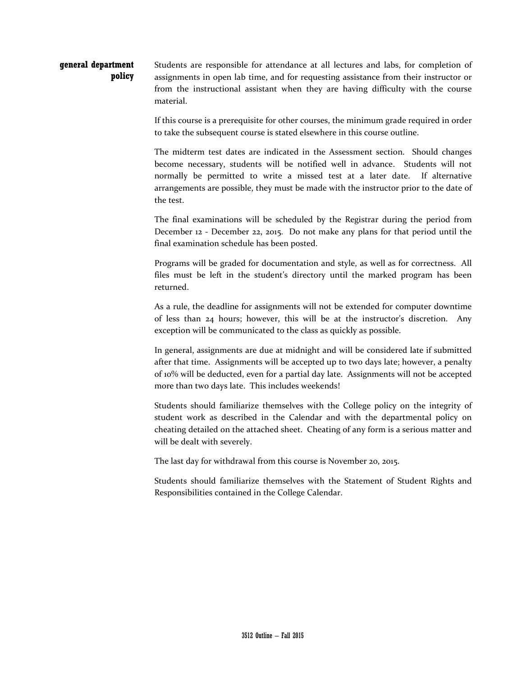#### **general department policy** Students are responsible for attendance at all lectures and labs, for completion of assignments in open lab time, and for requesting assistance from their instructor or from the instructional assistant when they are having difficulty with the course material.

If this course is a prerequisite for other courses, the minimum grade required in order to take the subsequent course is stated elsewhere in this course outline.

The midterm test dates are indicated in the Assessment section. Should changes become necessary, students will be notified well in advance. Students will not normally be permitted to write a missed test at a later date. If alternative arrangements are possible, they must be made with the instructor prior to the date of the test.

The final examinations will be scheduled by the Registrar during the period from December 12 - December 22, 2015. Do not make any plans for that period until the final examination schedule has been posted.

Programs will be graded for documentation and style, as well as for correctness. All files must be left in the student's directory until the marked program has been returned.

As a rule, the deadline for assignments will not be extended for computer downtime of less than 24 hours; however, this will be at the instructor's discretion. Any exception will be communicated to the class as quickly as possible.

In general, assignments are due at midnight and will be considered late if submitted after that time. Assignments will be accepted up to two days late; however, a penalty of 10% will be deducted, even for a partial day late. Assignments will not be accepted more than two days late. This includes weekends!

Students should familiarize themselves with the College policy on the integrity of student work as described in the Calendar and with the departmental policy on cheating detailed on the attached sheet. Cheating of any form is a serious matter and will be dealt with severely.

The last day for withdrawal from this course is November 20, 2015.

Students should familiarize themselves with the Statement of Student Rights and Responsibilities contained in the College Calendar.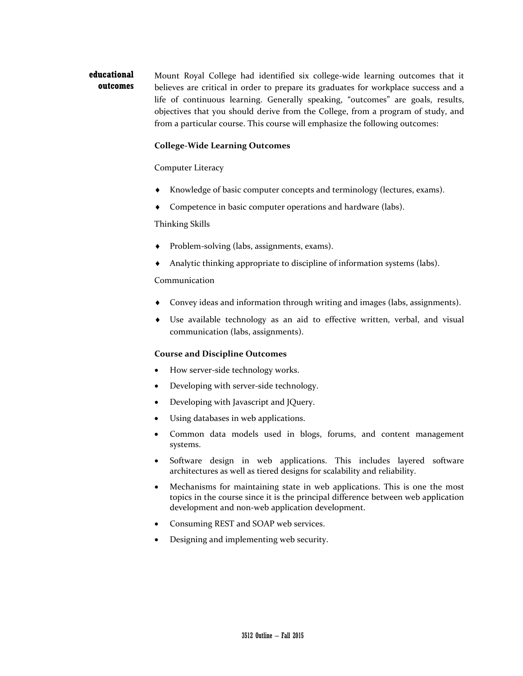#### **educational outcomes** Mount Royal College had identified six college-wide learning outcomes that it believes are critical in order to prepare its graduates for workplace success and a life of continuous learning. Generally speaking, "outcomes" are goals, results, objectives that you should derive from the College, from a program of study, and from a particular course. This course will emphasize the following outcomes:

## **College-Wide Learning Outcomes**

### Computer Literacy

- Knowledge of basic computer concepts and terminology (lectures, exams).
- Competence in basic computer operations and hardware (labs).

Thinking Skills

- Problem-solving (labs, assignments, exams).
- Analytic thinking appropriate to discipline of information systems (labs).

### Communication

- Convey ideas and information through writing and images (labs, assignments).
- ♦ Use available technology as an aid to effective written, verbal, and visual communication (labs, assignments).

### **Course and Discipline Outcomes**

- How server-side technology works.
- Developing with server-side technology.
- Developing with Javascript and JQuery.
- Using databases in web applications.
- Common data models used in blogs, forums, and content management systems.
- Software design in web applications. This includes layered software architectures as well as tiered designs for scalability and reliability.
- Mechanisms for maintaining state in web applications. This is one the most topics in the course since it is the principal difference between web application development and non-web application development.
- Consuming REST and SOAP web services.
- Designing and implementing web security.